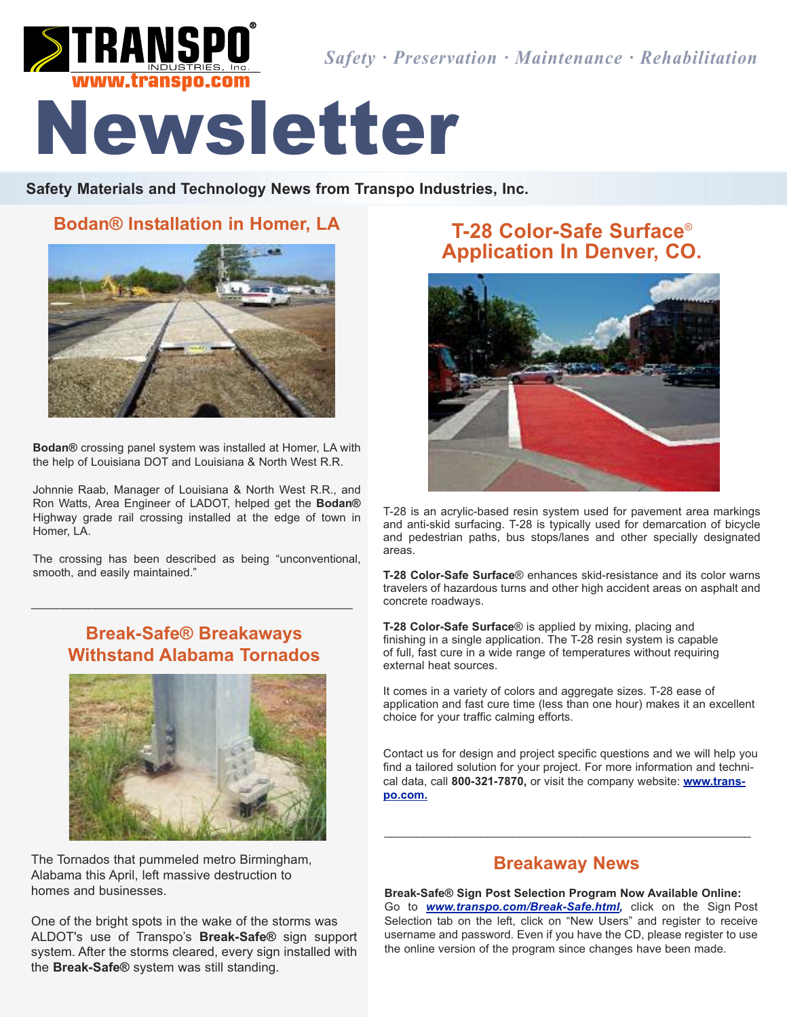

*Safety · Preservation · Maintenance · Rehabilitation*

# Newsletter

**Safety Materials and Technology News from Transpo Industries, Inc.**

### **Bodan® Installation in Homer, LA**



**Bodan®** crossing panel system was installed at Homer, LA with the help of Louisiana DOT and Louisiana & North West R.R.

Johnnie Raab, Manager of Louisiana & North West R.R., and Ron Watts, Area Engineer of LADOT, helped get the **Bodan®** Highway grade rail crossing installed at the edge of town in Homer, LA.

The crossing has been described as being "unconventional, smooth, and easily maintained."

## **Break-Safe® Breakaways Withstand Alabama Tornados**

\_\_\_\_\_\_\_\_\_\_\_\_\_\_\_\_\_\_\_\_\_\_\_\_\_\_\_\_\_\_\_\_\_\_\_\_\_\_\_\_\_\_\_\_\_\_\_\_\_\_



The Tornados that pummeled metro Birmingham, Alabama this April, left massive destruction to homes and businesses.

One of the bright spots in the wake of the storms was ALDOT's use of Transpo's **Break-Safe®** sign support system. After the storms cleared, every sign installed with the **Break-Safe®** system was still standing.

# **T-28 Color-Safe Surface**® **Application In Denver, CO.**



T-28 is an acrylic-based resin system used for pavement area markings and anti-skid surfacing. T-28 is typically used for demarcation of bicycle and pedestrian paths, bus stops/lanes and other specially designated areas.

**T-28 Color-Safe Surface**® enhances skid-resistance and its color warns travelers of hazardous turns and other high accident areas on asphalt and concrete roadways.

**T-28 Color-Safe Surface**® is applied by mixing, placing and finishing in a single application. The T-28 resin system is capable of full, fast cure in a wide range of temperatures without requiring external heat sources.

It comes in a variety of colors and aggregate sizes. T-28 ease of application and fast cure time (less than one hour) makes it an excellent choice for your traffic calming efforts.

Contact us for design and project specific questions and we will help you find a tailored solution for your project. For more information and technical data, call **800-321-7870,** or visit the company website: **www.transpo.com.**

#### **Breakaway News**

\_\_\_\_\_\_\_\_\_\_\_\_\_\_\_\_\_\_\_\_\_\_\_\_\_\_\_\_\_\_\_\_\_\_\_\_\_\_\_\_\_\_\_\_\_\_\_\_\_\_\_\_\_\_\_\_\_

**Break-Safe® Sign Post Selection Program Now Available Online:** Go to *www.transpo.com/Break-Safe.html,* click on the Sign Post Selection tab on the left, click on "New Users" and register to receive username and password. Even if you have the CD, please register to use the online version of the program since changes have been made.